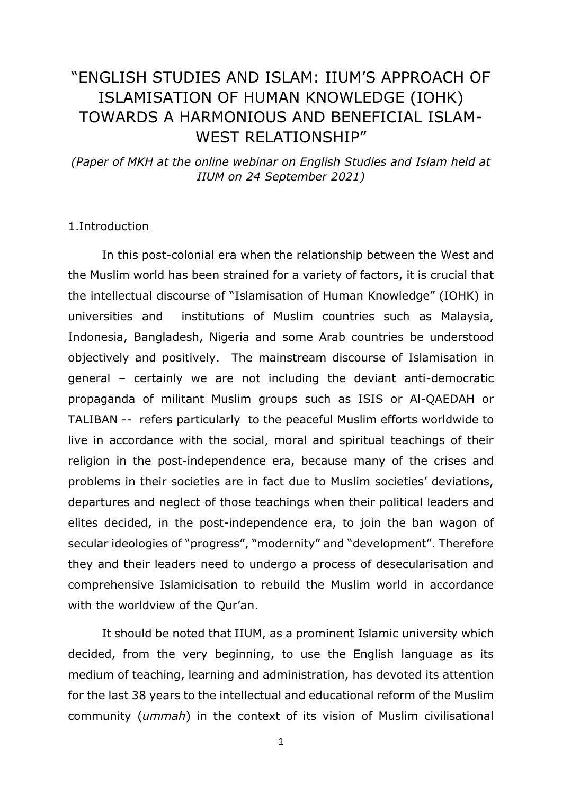# "ENGLISH STUDIES AND ISLAM: IIUM'S APPROACH OF ISLAMISATION OF HUMAN KNOWLEDGE (IOHK) TOWARDS A HARMONIOUS AND BENEFICIAL ISLAM-WEST RELATIONSHIP"

*(Paper of MKH at the online webinar on English Studies and Islam held at IIUM on 24 September 2021)*

#### 1.Introduction

In this post-colonial era when the relationship between the West and the Muslim world has been strained for a variety of factors, it is crucial that the intellectual discourse of "Islamisation of Human Knowledge" (IOHK) in universities and institutions of Muslim countries such as Malaysia, Indonesia, Bangladesh, Nigeria and some Arab countries be understood objectively and positively. The mainstream discourse of Islamisation in general – certainly we are not including the deviant anti-democratic propaganda of militant Muslim groups such as ISIS or Al-QAEDAH or TALIBAN -- refers particularly to the peaceful Muslim efforts worldwide to live in accordance with the social, moral and spiritual teachings of their religion in the post-independence era, because many of the crises and problems in their societies are in fact due to Muslim societies' deviations, departures and neglect of those teachings when their political leaders and elites decided, in the post-independence era, to join the ban wagon of secular ideologies of "progress", "modernity" and "development". Therefore they and their leaders need to undergo a process of desecularisation and comprehensive Islamicisation to rebuild the Muslim world in accordance with the worldview of the Qur'an.

It should be noted that IIUM, as a prominent Islamic university which decided, from the very beginning, to use the English language as its medium of teaching, learning and administration, has devoted its attention for the last 38 years to the intellectual and educational reform of the Muslim community (*ummah*) in the context of its vision of Muslim civilisational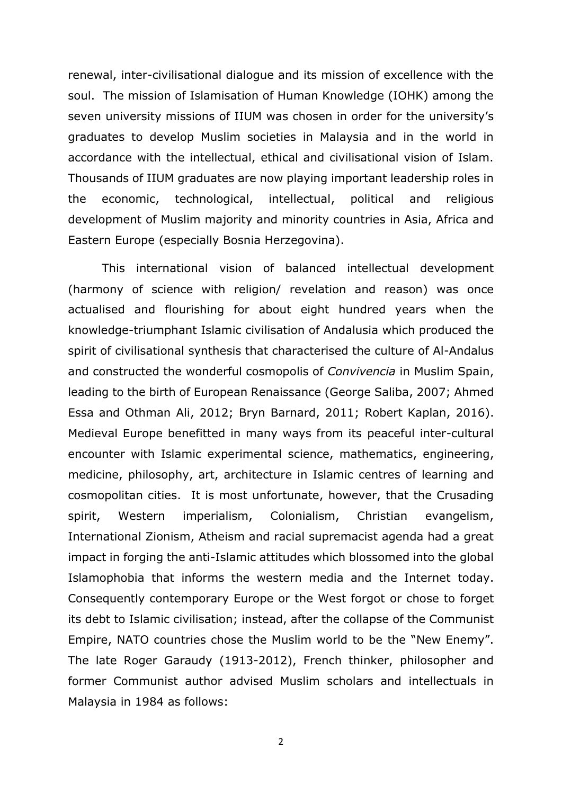renewal, inter-civilisational dialogue and its mission of excellence with the soul. The mission of Islamisation of Human Knowledge (IOHK) among the seven university missions of IIUM was chosen in order for the university's graduates to develop Muslim societies in Malaysia and in the world in accordance with the intellectual, ethical and civilisational vision of Islam. Thousands of IIUM graduates are now playing important leadership roles in the economic, technological, intellectual, political and religious development of Muslim majority and minority countries in Asia, Africa and Eastern Europe (especially Bosnia Herzegovina).

This international vision of balanced intellectual development (harmony of science with religion/ revelation and reason) was once actualised and flourishing for about eight hundred years when the knowledge-triumphant Islamic civilisation of Andalusia which produced the spirit of civilisational synthesis that characterised the culture of Al-Andalus and constructed the wonderful cosmopolis of *Convivencia* in Muslim Spain, leading to the birth of European Renaissance (George Saliba, 2007; Ahmed Essa and Othman Ali, 2012; Bryn Barnard, 2011; Robert Kaplan, 2016). Medieval Europe benefitted in many ways from its peaceful inter-cultural encounter with Islamic experimental science, mathematics, engineering, medicine, philosophy, art, architecture in Islamic centres of learning and cosmopolitan cities. It is most unfortunate, however, that the Crusading spirit, Western imperialism, Colonialism, Christian evangelism, International Zionism, Atheism and racial supremacist agenda had a great impact in forging the anti-Islamic attitudes which blossomed into the global Islamophobia that informs the western media and the Internet today. Consequently contemporary Europe or the West forgot or chose to forget its debt to Islamic civilisation; instead, after the collapse of the Communist Empire, NATO countries chose the Muslim world to be the "New Enemy". The late Roger Garaudy (1913-2012), French thinker, philosopher and former Communist author advised Muslim scholars and intellectuals in Malaysia in 1984 as follows: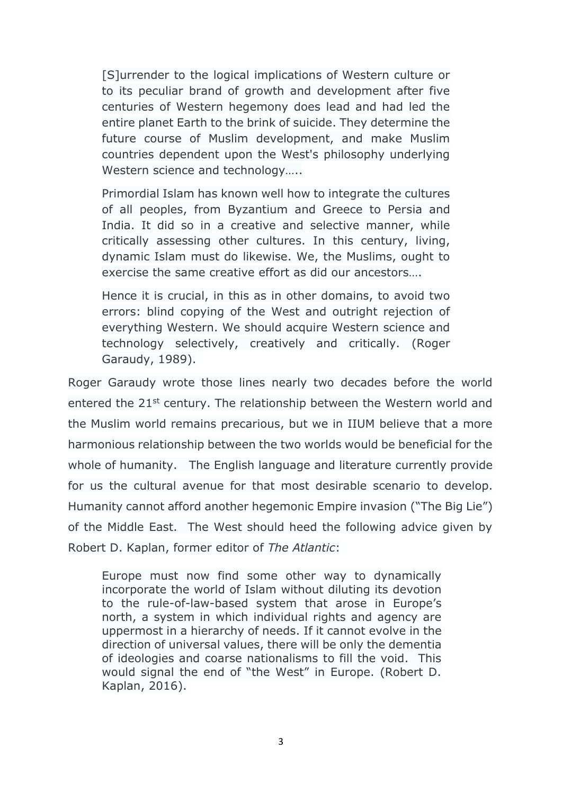[S]urrender to the logical implications of Western culture or to its peculiar brand of growth and development after five centuries of Western hegemony does lead and had led the entire planet Earth to the brink of suicide. They determine the future course of Muslim development, and make Muslim countries dependent upon the West's philosophy underlying Western science and technology…..

Primordial Islam has known well how to integrate the cultures of all peoples, from Byzantium and Greece to Persia and India. It did so in a creative and selective manner, while critically assessing other cultures. In this century, living, dynamic Islam must do likewise. We, the Muslims, ought to exercise the same creative effort as did our ancestors….

Hence it is crucial, in this as in other domains, to avoid two errors: blind copying of the West and outright rejection of everything Western. We should acquire Western science and technology selectively, creatively and critically. (Roger Garaudy, 1989).

Roger Garaudy wrote those lines nearly two decades before the world entered the 21<sup>st</sup> century. The relationship between the Western world and the Muslim world remains precarious, but we in IIUM believe that a more harmonious relationship between the two worlds would be beneficial for the whole of humanity. The English language and literature currently provide for us the cultural avenue for that most desirable scenario to develop. Humanity cannot afford another hegemonic Empire invasion ("The Big Lie") of the Middle East. The West should heed the following advice given by Robert D. Kaplan, former editor of *The Atlantic*:

Europe must now find some other way to dynamically incorporate the world of Islam without diluting its devotion to the rule-of-law-based system that arose in Europe's north, a system in which individual rights and agency are uppermost in a hierarchy of needs. If it cannot evolve in the direction of universal values, there will be only the dementia of ideologies and coarse nationalisms to fill the void. This would signal the end of "the West" in Europe. (Robert D. Kaplan, 2016).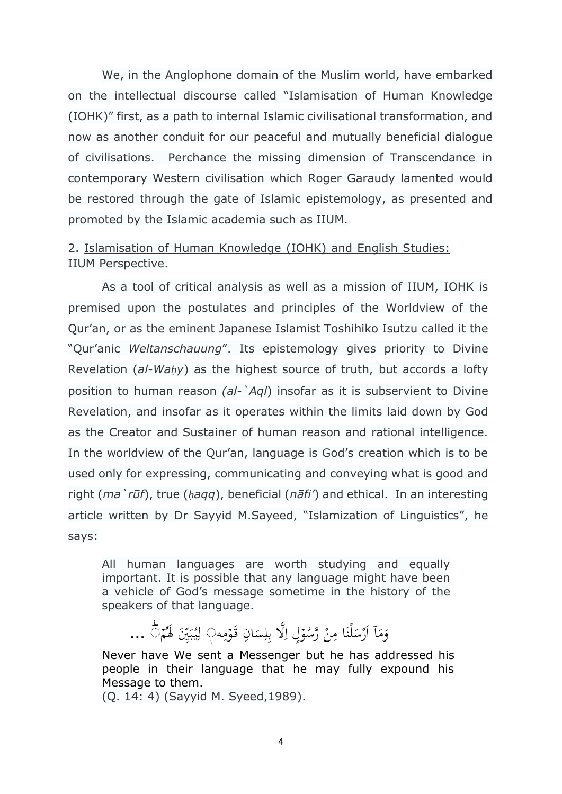We, in the Anglophone domain of the Muslim world, have embarked on the intellectual discourse called "Islamisation of Human Knowledge (IOHK)" first, as a path to internal Islamic civilisational transformation, and now as another conduit for our peaceful and mutually beneficial dialogue of civilisations. Perchance the missing dimension of Transcendance in contemporary Western civilisation which Roger Garaudy lamented would be restored through the gate of Islamic epistemology, as presented and promoted by the Islamic academia such as IIUM.

## 2. Islamisation of Human Knowledge (IOHK) and English Studies: IIUM Perspective.

As a tool of critical analysis as well as a mission of IIUM, IOHK is premised upon the postulates and principles of the Worldview of the Qur'an, or as the eminent Japanese Islamist Toshihiko Isutzu called it the "Qur'anic *Weltanschauung*". Its epistemology gives priority to Divine Revelation (*al-Waḥy*) as the highest source of truth, but accords a lofty position to human reason *(al-`Aql*) insofar as it is subservient to Divine Revelation, and insofar as it operates within the limits laid down by God as the Creator and Sustainer of human reason and rational intelligence. In the worldview of the Qur'an, language is God's creation which is to be used only for expressing, communicating and conveying what is good and right (*ma`rūf*), true (*ḥaqq*), beneficial (*nāfi'*) and ethical. In an interesting article written by Dr Sayyid M.Sayeed, "Islamization of Linguistics", he says:

All human languages are worth studying and equally important. It is possible that any language might have been a vehicle of God's message sometime in the history of the speakers of that language.

اَرۡسَلۡنَا مِنۡ رَّسُوۡلِ اِلَّا بِلِسَانِ قَوۡمِه  $\overline{\phantom{a}}$ ֦֧֦֧֦  $\overline{a}$ ِ ِّ  $\frac{1}{2}$ ۔<br>م :<br>: ्<br>्र .<br>. ن ֧֝<br>֧֪֚  $\overline{\phantom{0}}$ ؘ<br>ٌ ا ً<br>آ وَمَآ اَرۡسَلۡنَا مِنۡ رَّسُوۡلِ اِلَّا بِلِسَانِ قَوۡمِهٖ۞ لِيُبَيِّنَ لَهُمۡ۞ ...  $\overline{\phantom{a}}$ ُو<br>ِ ֧֦֧֦֧֦֧֦֧֦֧֦֧֦֧֧֦֧֧֦֧ׅ֧֦֧֧֦֧֓֜֜֓֓֜֓֜֓֓֜֓ .<br>با ب ِ<br>ل

Never have We sent a Messenger but he has addressed his people in their language that he may fully expound his Message to them.

(Q. 14: 4) (Sayyid M. Syeed,1989).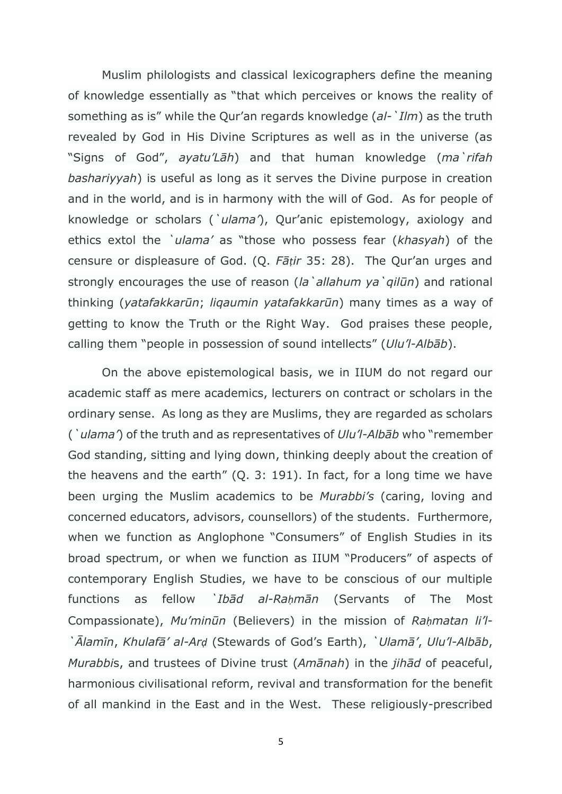Muslim philologists and classical lexicographers define the meaning of knowledge essentially as "that which perceives or knows the reality of something as is" while the Qur'an regards knowledge (*al-`Ilm*) as the truth revealed by God in His Divine Scriptures as well as in the universe (as "Signs of God", *ayatu'Lāh*) and that human knowledge (*ma`rifah bashariyyah*) is useful as long as it serves the Divine purpose in creation and in the world, and is in harmony with the will of God. As for people of knowledge or scholars (*`ulama'*), Qur'anic epistemology, axiology and ethics extol the *`ulama'* as "those who possess fear (*khasyah*) of the censure or displeasure of God. (Q. *Fāṭir* 35: 28). The Qur'an urges and strongly encourages the use of reason (*la`allahum ya`qilūn*) and rational thinking (*yatafakkarūn*; *liqaumin yatafakkarūn*) many times as a way of getting to know the Truth or the Right Way. God praises these people, calling them "people in possession of sound intellects" (*Ulu'l-Albāb*).

On the above epistemological basis, we in IIUM do not regard our academic staff as mere academics, lecturers on contract or scholars in the ordinary sense. As long as they are Muslims, they are regarded as scholars (*`ulama'*) of the truth and as representatives of *Ulu'l-Albāb* who "remember God standing, sitting and lying down, thinking deeply about the creation of the heavens and the earth" (Q. 3: 191). In fact, for a long time we have been urging the Muslim academics to be *Murabbi's* (caring, loving and concerned educators, advisors, counsellors) of the students. Furthermore, when we function as Anglophone "Consumers" of English Studies in its broad spectrum, or when we function as IIUM "Producers" of aspects of contemporary English Studies, we have to be conscious of our multiple functions as fellow *`Ibād al-Raḥmān* (Servants of The Most Compassionate), *Mu'minūn* (Believers) in the mission of *Raḥmatan li'l- `Ālamīn*, *Khulafā' al-Arḍ* (Stewards of God's Earth), *`Ulamā'*, *Ulu'l-Albāb*, *Murabbi*s, and trustees of Divine trust (*Amānah*) in the *jihād* of peaceful, harmonious civilisational reform, revival and transformation for the benefit of all mankind in the East and in the West. These religiously-prescribed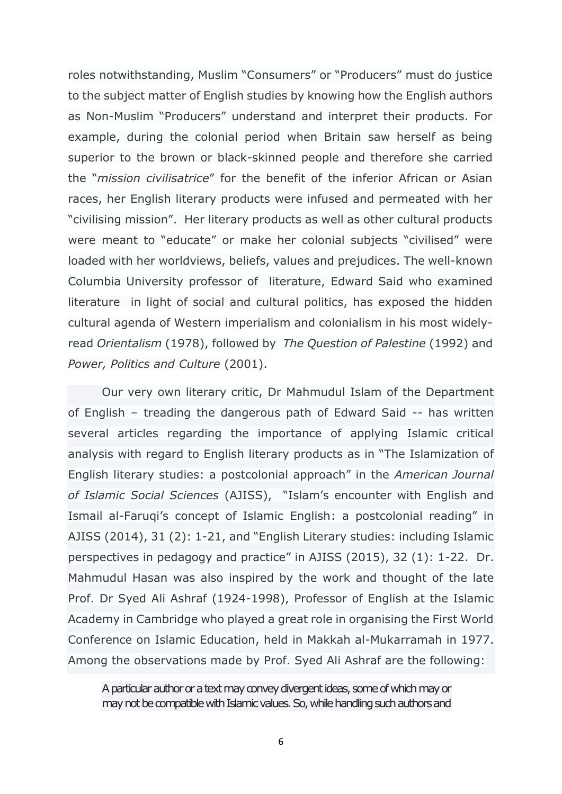roles notwithstanding, Muslim "Consumers" or "Producers" must do justice to the subject matter of English studies by knowing how the English authors as Non-Muslim "Producers" understand and interpret their products. For example, during the colonial period when Britain saw herself as being superior to the brown or black-skinned people and therefore she carried the "*mission civilisatrice*" for the benefit of the inferior African or Asian races, her English literary products were infused and permeated with her "civilising mission". Her literary products as well as other cultural products were meant to "educate" or make her colonial subjects "civilised" were loaded with her worldviews, beliefs, values and prejudices. The well-known Columbia University professor of literature, Edward Said who examined literature in light of social and cultural politics, has exposed the hidden cultural agenda of Western imperialism and colonialism in his most widelyread *Orientalism* (1978), followed by *The Question of Palestine* (1992) and *Power, Politics and Culture* (2001).

Our very own literary critic, Dr Mahmudul Islam of the Department of English – treading the dangerous path of Edward Said -- has written several articles regarding the importance of applying Islamic critical analysis with regard to English literary products as in "The Islamization of English literary studies: a postcolonial approach" in the *American Journal of Islamic Social Sciences* (AJISS), "Islam's encounter with English and Ismail al-Faruqi's concept of Islamic English: a postcolonial reading" in AJISS (2014), 31 (2): 1-21, and "English Literary studies: including Islamic perspectives in pedagogy and practice" in AJISS (2015), 32 (1): 1-22. Dr. Mahmudul Hasan was also inspired by the work and thought of the late Prof. Dr Syed Ali Ashraf (1924-1998), Professor of English at the Islamic Academy in Cambridge who played a great role in organising the First World Conference on Islamic Education, held in Makkah al-Mukarramah in 1977. Among the observations made by Prof. Syed Ali Ashraf are the following:

A particular author or a text may convey divergent ideas, some of which may or may not be compatible with Islamic values. So, while handling such authors and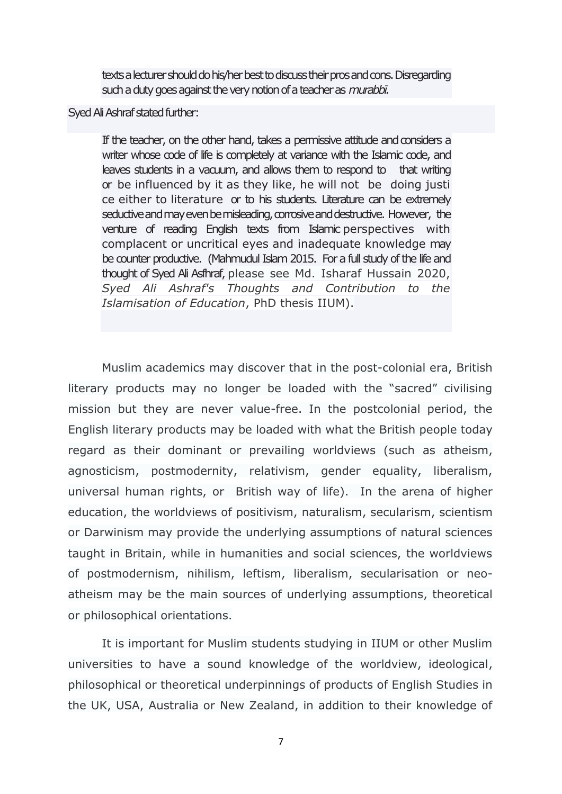texts a lecturer should do his/her best to discuss their pros and cons. Disregarding such a duty goes against the very notion of a teacher as *murabbi*.

### Syed Ali Ashraf stated further:

If the teacher, on the other hand, takes a permissive attitude and considers a writer whose code of life is completely at variance with the Islamic code, and leaves students in a vacuum, and allows them to respond to that writing or be influenced by it as they like, he will not be doing justi ce either to literature or to his students. Literature can be extremely seductive and may even be misleading, corrosive and destructive. However, the venture of reading English texts from Islamic perspectives with complacent or uncritical eyes and inadequate knowledge may be counter productive. (Mahmudul Islam 2015. For a full study of the life and thought of Syed Ali Asfhraf, please see Md. Isharaf Hussain 2020, *Syed Ali Ashraf's Thoughts and Contribution to the Islamisation of Education*, PhD thesis IIUM).

Muslim academics may discover that in the post-colonial era, British literary products may no longer be loaded with the "sacred" civilising mission but they are never value-free. In the postcolonial period, the English literary products may be loaded with what the British people today regard as their dominant or prevailing worldviews (such as atheism, agnosticism, postmodernity, relativism, gender equality, liberalism, universal human rights, or British way of life). In the arena of higher education, the worldviews of positivism, naturalism, secularism, scientism or Darwinism may provide the underlying assumptions of natural sciences taught in Britain, while in humanities and social sciences, the worldviews of postmodernism, nihilism, leftism, liberalism, secularisation or neoatheism may be the main sources of underlying assumptions, theoretical or philosophical orientations.

It is important for Muslim students studying in IIUM or other Muslim universities to have a sound knowledge of the worldview, ideological, philosophical or theoretical underpinnings of products of English Studies in the UK, USA, Australia or New Zealand, in addition to their knowledge of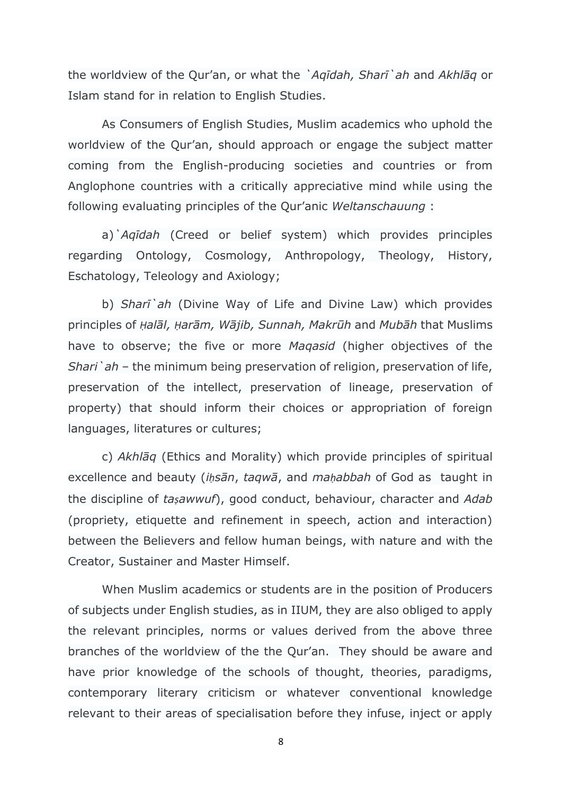the worldview of the Qur'an, or what the *`Aqīdah, Sharī`ah* and *Akhlāq* or Islam stand for in relation to English Studies.

As Consumers of English Studies, Muslim academics who uphold the worldview of the Qur'an, should approach or engage the subject matter coming from the English-producing societies and countries or from Anglophone countries with a critically appreciative mind while using the following evaluating principles of the Qur'anic *Weltanschauung* :

a)*`Aqīdah* (Creed or belief system) which provides principles regarding Ontology, Cosmology, Anthropology, Theology, History, Eschatology, Teleology and Axiology;

b) *Sharī`ah* (Divine Way of Life and Divine Law) which provides principles of *Ḥalāl, Ḥarām, Wājib, Sunnah, Makrūh* and *Mubāh* that Muslims have to observe; the five or more *Maqasid* (higher objectives of the *Shari`ah* – the minimum being preservation of religion, preservation of life, preservation of the intellect, preservation of lineage, preservation of property) that should inform their choices or appropriation of foreign languages, literatures or cultures;

c) *Akhlāq* (Ethics and Morality) which provide principles of spiritual excellence and beauty (*iḥsān*, *taqwā*, and *maḥabbah* of God as taught in the discipline of *taṣawwuf*), good conduct, behaviour, character and *Adab* (propriety, etiquette and refinement in speech, action and interaction) between the Believers and fellow human beings, with nature and with the Creator, Sustainer and Master Himself.

When Muslim academics or students are in the position of Producers of subjects under English studies, as in IIUM, they are also obliged to apply the relevant principles, norms or values derived from the above three branches of the worldview of the the Qur'an. They should be aware and have prior knowledge of the schools of thought, theories, paradigms, contemporary literary criticism or whatever conventional knowledge relevant to their areas of specialisation before they infuse, inject or apply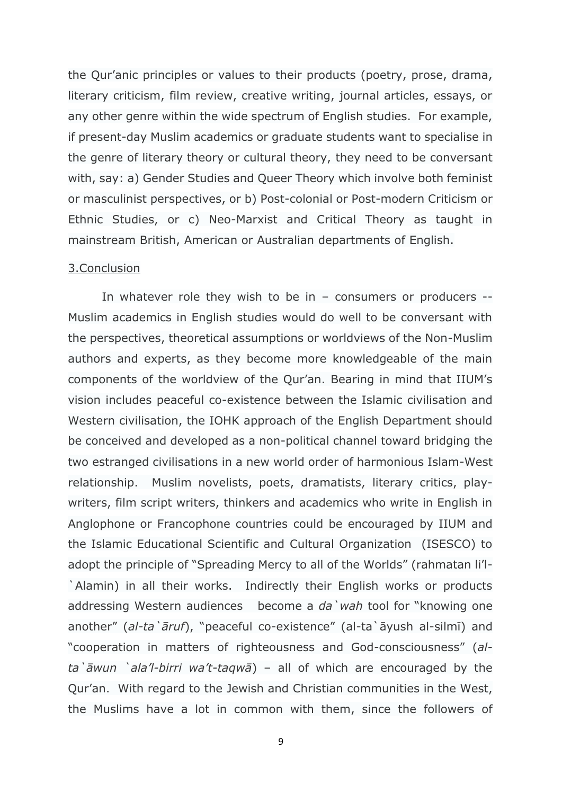the Qur'anic principles or values to their products (poetry, prose, drama, literary criticism, film review, creative writing, journal articles, essays, or any other genre within the wide spectrum of English studies. For example, if present-day Muslim academics or graduate students want to specialise in the genre of literary theory or cultural theory, they need to be conversant with, say: a) Gender Studies and Queer Theory which involve both feminist or masculinist perspectives, or b) Post-colonial or Post-modern Criticism or Ethnic Studies, or c) Neo-Marxist and Critical Theory as taught in mainstream British, American or Australian departments of English.

#### 3.Conclusion

In whatever role they wish to be in – consumers or producers -- Muslim academics in English studies would do well to be conversant with the perspectives, theoretical assumptions or worldviews of the Non-Muslim authors and experts, as they become more knowledgeable of the main components of the worldview of the Qur'an. Bearing in mind that IIUM's vision includes peaceful co-existence between the Islamic civilisation and Western civilisation, the IOHK approach of the English Department should be conceived and developed as a non-political channel toward bridging the two estranged civilisations in a new world order of harmonious Islam-West relationship. Muslim novelists, poets, dramatists, literary critics, playwriters, film script writers, thinkers and academics who write in English in Anglophone or Francophone countries could be encouraged by IIUM and the Islamic Educational Scientific and Cultural Organization (ISESCO) to adopt the principle of "Spreading Mercy to all of the Worlds" (rahmatan li'l- `Alamin) in all their works. Indirectly their English works or products addressing Western audiences become a *da`wah* tool for "knowing one another" (*al-ta`āruf*), "peaceful co-existence" (al-ta`āyush al-silmī) and "cooperation in matters of righteousness and God-consciousness" (*alta`āwun `ala'l-birri wa't-taqwā*) – all of which are encouraged by the Qur'an. With regard to the Jewish and Christian communities in the West, the Muslims have a lot in common with them, since the followers of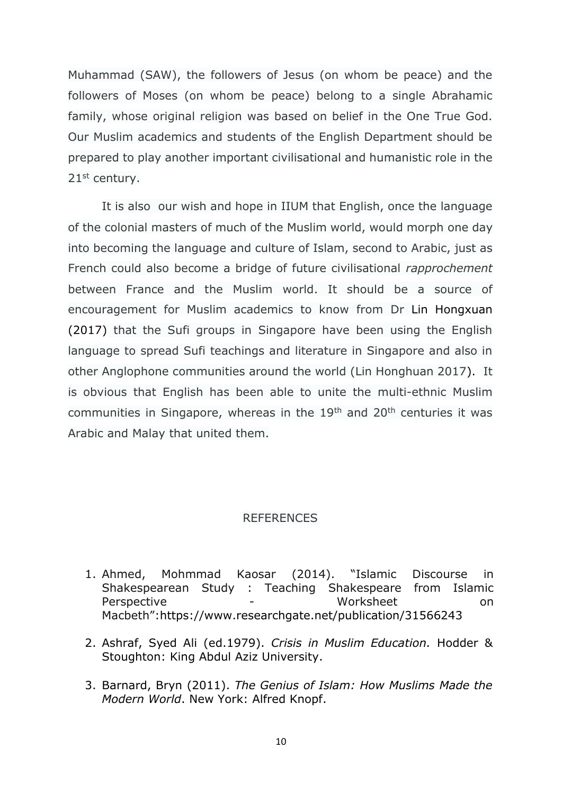Muhammad (SAW), the followers of Jesus (on whom be peace) and the followers of Moses (on whom be peace) belong to a single Abrahamic family, whose original religion was based on belief in the One True God. Our Muslim academics and students of the English Department should be prepared to play another important civilisational and humanistic role in the 21st century.

It is also our wish and hope in IIUM that English, once the language of the colonial masters of much of the Muslim world, would morph one day into becoming the language and culture of Islam, second to Arabic, just as French could also become a bridge of future civilisational *rapprochement* between France and the Muslim world. It should be a source of encouragement for Muslim academics to know from Dr Lin Hongxuan (2017) that the Sufi groups in Singapore have been using the English language to spread Sufi teachings and literature in Singapore and also in other Anglophone communities around the world (Lin Honghuan 2017). It is obvious that English has been able to unite the multi-ethnic Muslim communities in Singapore, whereas in the 19<sup>th</sup> and 20<sup>th</sup> centuries it was Arabic and Malay that united them.

#### REFERENCES

- 1. Ahmed, Mohmmad Kaosar (2014). "Islamic Discourse in Shakespearean Study : Teaching Shakespeare from Islamic Perspective - Worksheet on Macbeth":https://www.researchgate.net/publication/31566243
- 2. Ashraf, Syed Ali (ed.1979). *Crisis in Muslim Education.* Hodder & Stoughton: King Abdul Aziz University.
- 3. Barnard, Bryn (2011). *The Genius of Islam: How Muslims Made the Modern World*. New York: Alfred Knopf.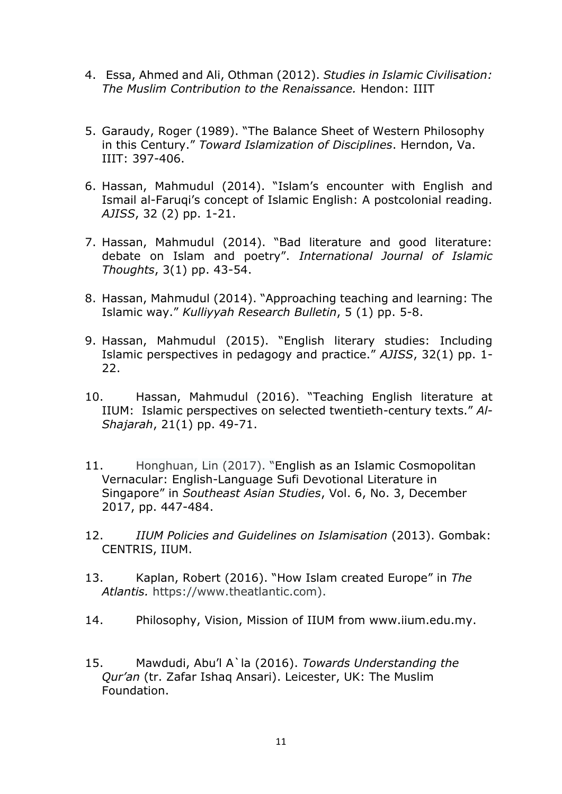- 4. Essa, Ahmed and Ali, Othman (2012). *Studies in Islamic Civilisation: The Muslim Contribution to the Renaissance.* Hendon: IIIT
- 5. Garaudy, Roger (1989). "The Balance Sheet of Western Philosophy in this Century." *Toward Islamization of Disciplines*. Herndon, Va. IIIT: 397-406.
- 6. Hassan, Mahmudul (2014). "Islam's encounter with English and Ismail al-Faruqi's concept of Islamic English: A postcolonial reading. *AJISS*, 32 (2) pp. 1-21.
- 7. Hassan, Mahmudul (2014). "Bad literature and good literature: debate on Islam and poetry". *International Journal of Islamic Thoughts*, 3(1) pp. 43-54.
- 8. Hassan, Mahmudul (2014). "Approaching teaching and learning: The Islamic way." *Kulliyyah Research Bulletin*, 5 (1) pp. 5-8.
- 9. Hassan, Mahmudul (2015). "English literary studies: Including Islamic perspectives in pedagogy and practice." *AJISS*, 32(1) pp. 1- 22.
- 10. Hassan, Mahmudul (2016). "Teaching English literature at IIUM: Islamic perspectives on selected twentieth-century texts." *Al-Shajarah*, 21(1) pp. 49-71.
- 11. Honghuan, Lin (2017). "English as an Islamic Cosmopolitan Vernacular: English-Language Sufi Devotional Literature in Singapore" in *Southeast Asian Studies*, Vol. 6, No. 3, December 2017, pp. 447-484.
- 12. *IIUM Policies and Guidelines on Islamisation* (2013). Gombak: CENTRIS, IIUM.
- 13. Kaplan, Robert (2016). "How Islam created Europe" in *The Atlantis.* https://www.theatlantic.com).
- 14. Philosophy, Vision, Mission of IIUM from www.iium.edu.my.
- 15. Mawdudi, Abu'l A`la (2016). *Towards Understanding the Qur'an* (tr. Zafar Ishaq Ansari). Leicester, UK: The Muslim Foundation.